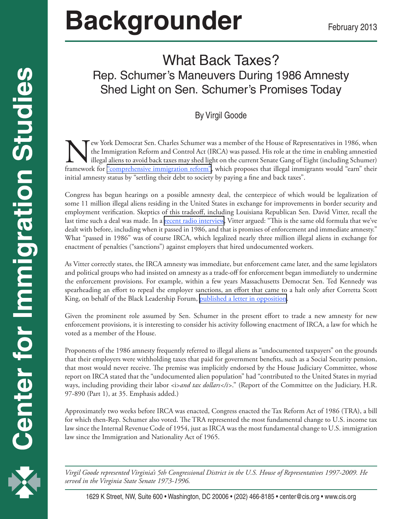## **Backgrounder** February 2013

## What Back Taxes? Rep. Schumer's Maneuvers During 1986 Amnesty Shed Light on Sen. Schumer's Promises Today

## By Virgil Goode

The York Democrat Sen. Charles Schumer was a member of the House of Representatives in 1986, when<br>the Immigration Reform and Control Act (IRCA) was passed. His role at the time in enabling amnestied<br>illegal aliens to avoid the Immigration Reform and Control Act (IRCA) was passed. His role at the time in enabling amnestied illegal aliens to avoid back taxes may shed light on the current Senate Gang of Eight (including Schumer) framework for <u>"comprehensive immigration reform</u>", which proposes that illegal immigrants would "earn" their initial amnesty status by "settling their debt to society by paying a fine and back taxes".

Congress has begun hearings on a possible amnesty deal, the centerpiece of which would be legalization of some 11 million illegal aliens residing in the United States in exchange for improvements in border security and employment verification. Skeptics of this tradeoff, including Louisiana Republican Sen. David Vitter, recall the last time such a deal was made. In a [recent radio interview](http://www.politico.com/story/2013/01/david-vitter-marco-rubio-nuts-on-immigration-86934.html), Vitter argued: "This is the same old formula that we've dealt with before, including when it passed in 1986, and that is promises of enforcement and immediate amnesty." What "passed in 1986" was of course IRCA, which legalized nearly three million illegal aliens in exchange for enactment of penalties ("sanctions") against employers that hired undocumented workers.

As Vitter correctly states, the IRCA amnesty was immediate, but enforcement came later, and the same legislators and political groups who had insisted on amnesty as a trade-off for enforcement began immediately to undermine the enforcement provisions. For example, within a few years Massachusetts Democrat Sen. Ted Kennedy was spearheading an effort to repeal the employer sanctions, an effort that came to a halt only after Corretta Scott King, on behalf of the Black Leadership Forum, [published a letter in opposition.](http://cis.org/sites/default/files/king-letter.pdf)

Given the prominent role assumed by Sen. Schumer in the present effort to trade a new amnesty for new enforcement provisions, it is interesting to consider his activity following enactment of IRCA, a law for which he voted as a member of the House.

Proponents of the 1986 amnesty frequently referred to illegal aliens as "undocumented taxpayers" on the grounds that their employers were withholding taxes that paid for government benefits, such as a Social Security pension, that most would never receive. The premise was implicitly endorsed by the House Judiciary Committee, whose report on IRCA stated that the "undocumented alien population" had "contributed to the United States in myriad ways, including providing their labor <i>and tax dollars</i></i>>." (Report of the Committee on the Judiciary, H.R. 97-890 (Part 1), at 35. Emphasis added.)

Approximately two weeks before IRCA was enacted, Congress enacted the Tax Reform Act of 1986 (TRA), a bill for which then-Rep. Schumer also voted. The TRA represented the most fundamental change to U.S. income tax law since the Internal Revenue Code of 1954, just as IRCA was the most fundamental change to U.S. immigration law since the Immigration and Nationality Act of 1965.

*Virgil Goode represented Virginia's 5th Congressional District in the U.S. House of Representatives 1997-2009. He served in the Virginia State Senate 1973-1996.*